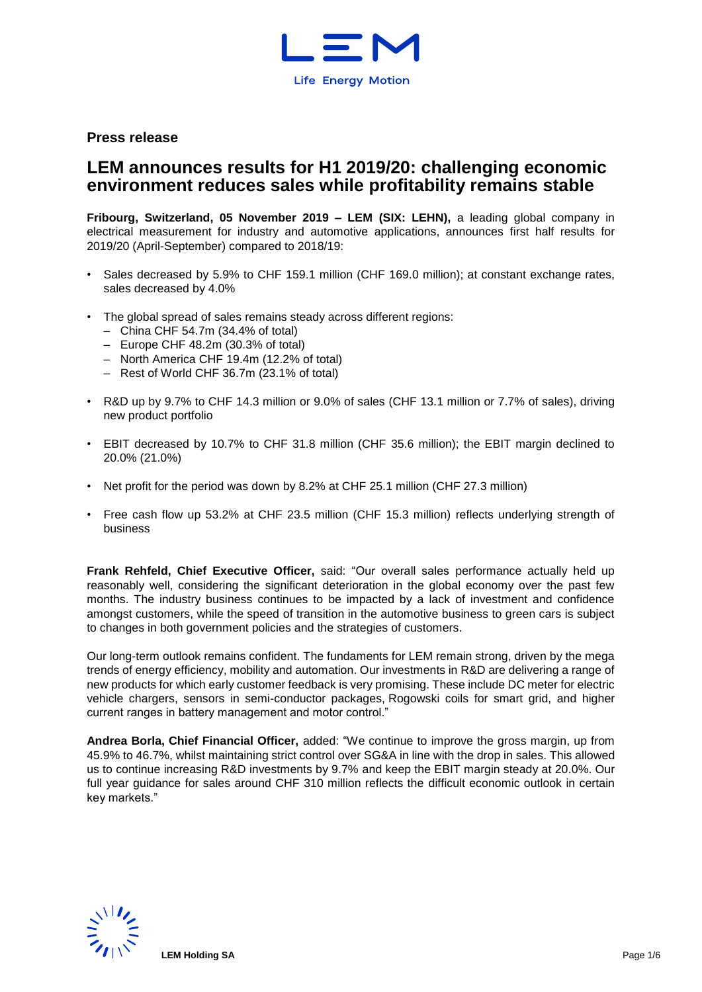

**Press release**

# **LEM announces results for H1 2019/20: challenging economic environment reduces sales while profitability remains stable**

**Fribourg, Switzerland, 05 November 2019 – LEM (SIX: LEHN),** a leading global company in electrical measurement for industry and automotive applications, announces first half results for 2019/20 (April-September) compared to 2018/19:

- Sales decreased by 5.9% to CHF 159.1 million (CHF 169.0 million); at constant exchange rates, sales decreased by 4.0%
- The global spread of sales remains steady across different regions:
	- China CHF 54.7m (34.4% of total)
	- Europe CHF 48.2m (30.3% of total)
	- North America CHF 19.4m (12.2% of total)
	- Rest of World CHF 36.7m (23.1% of total)
- R&D up by 9.7% to CHF 14.3 million or 9.0% of sales (CHF 13.1 million or 7.7% of sales), driving new product portfolio
- EBIT decreased by 10.7% to CHF 31.8 million (CHF 35.6 million); the EBIT margin declined to 20.0% (21.0%)
- Net profit for the period was down by 8.2% at CHF 25.1 million (CHF 27.3 million)
- Free cash flow up 53.2% at CHF 23.5 million (CHF 15.3 million) reflects underlying strength of business

**Frank Rehfeld, Chief Executive Officer,** said: "Our overall sales performance actually held up reasonably well, considering the significant deterioration in the global economy over the past few months. The industry business continues to be impacted by a lack of investment and confidence amongst customers, while the speed of transition in the automotive business to green cars is subject to changes in both government policies and the strategies of customers.

Our long-term outlook remains confident. The fundaments for LEM remain strong, driven by the mega trends of energy efficiency, mobility and automation. Our investments in R&D are delivering a range of new products for which early customer feedback is very promising. These include DC meter for electric vehicle chargers, sensors in semi-conductor packages, Rogowski coils for smart grid, and higher current ranges in battery management and motor control."

**Andrea Borla, Chief Financial Officer,** added: "We continue to improve the gross margin, up from 45.9% to 46.7%, whilst maintaining strict control over SG&A in line with the drop in sales. This allowed us to continue increasing R&D investments by 9.7% and keep the EBIT margin steady at 20.0%. Our full year guidance for sales around CHF 310 million reflects the difficult economic outlook in certain key markets."

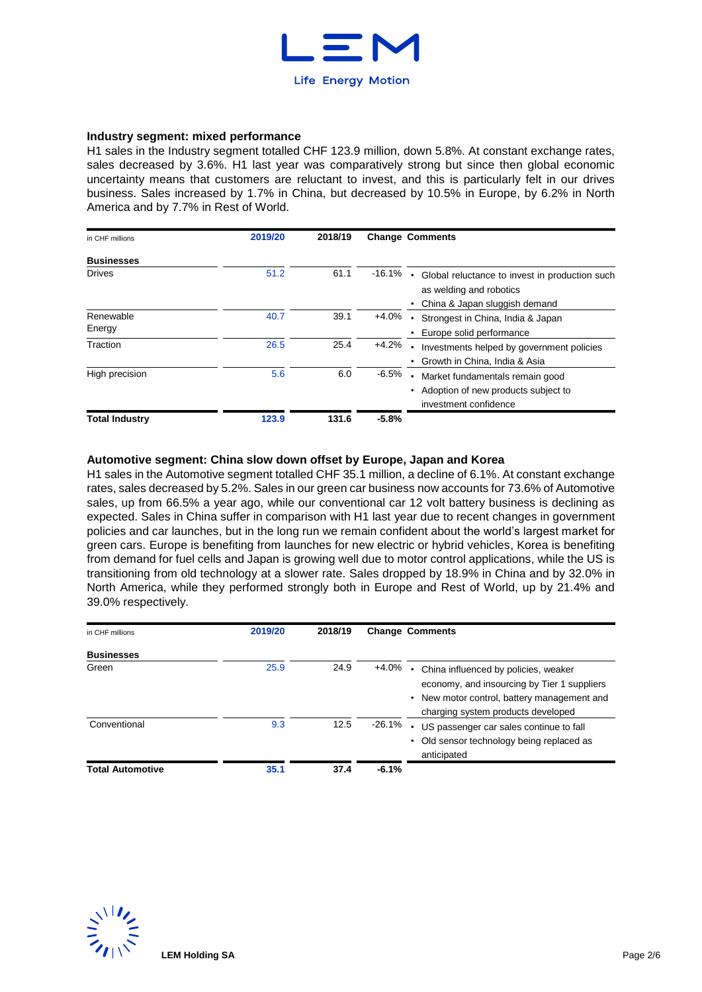

#### **Industry segment: mixed performance**

H1 sales in the Industry segment totalled CHF 123.9 million, down 5.8%. At constant exchange rates, sales decreased by 3.6%. H1 last year was comparatively strong but since then global economic uncertainty means that customers are reluctant to invest, and this is particularly felt in our drives business. Sales increased by 1.7% in China, but decreased by 10.5% in Europe, by 6.2% in North America and by 7.7% in Rest of World.

| in CHF millions       | 2019/20 | 2018/19 |           | <b>Change Comments</b>                                                                                     |
|-----------------------|---------|---------|-----------|------------------------------------------------------------------------------------------------------------|
| <b>Businesses</b>     |         |         |           |                                                                                                            |
| <b>Drives</b>         | 51.2    | 61.1    | $-16.1\%$ | Global reluctance to invest in production such<br>as welding and robotics<br>China & Japan sluggish demand |
| Renewable<br>Energy   | 40.7    | 39.1    | +4.0%     | Strongest in China, India & Japan<br>Europe solid performance                                              |
| Traction              | 26.5    | 25.4    | $+4.2%$   | Investments helped by government policies<br>Growth in China, India & Asia                                 |
| High precision        | 5.6     | 6.0     | $-6.5%$   | Market fundamentals remain good<br>Adoption of new products subject to<br>investment confidence            |
| <b>Total Industry</b> | 123.9   | 131.6   | $-5.8%$   |                                                                                                            |

#### **Automotive segment: China slow down offset by Europe, Japan and Korea**

H1 sales in the Automotive segment totalled CHF 35.1 million, a decline of 6.1%. At constant exchange rates, sales decreased by 5.2%. Sales in our green car business now accounts for 73.6% of Automotive sales, up from 66.5% a year ago, while our conventional car 12 volt battery business is declining as expected. Sales in China suffer in comparison with H1 last year due to recent changes in government policies and car launches, but in the long run we remain confident about the world's largest market for green cars. Europe is benefiting from launches for new electric or hybrid vehicles, Korea is benefiting from demand for fuel cells and Japan is growing well due to motor control applications, while the US is transitioning from old technology at a slower rate. Sales dropped by 18.9% in China and by 32.0% in North America, while they performed strongly both in Europe and Rest of World, up by 21.4% and 39.0% respectively.

| in CHF millions         | 2019/20 | 2018/19 |           | <b>Change Comments</b>                                                                                                                                                   |
|-------------------------|---------|---------|-----------|--------------------------------------------------------------------------------------------------------------------------------------------------------------------------|
| <b>Businesses</b>       |         |         |           |                                                                                                                                                                          |
| Green                   | 25.9    | 24.9    | +4.0%     | China influenced by policies, weaker<br>economy, and insourcing by Tier 1 suppliers<br>• New motor control, battery management and<br>charging system products developed |
| Conventional            | 9.3     | 12.5    | $-26.1\%$ | US passenger car sales continue to fall<br>Old sensor technology being replaced as<br>anticipated                                                                        |
| <b>Total Automotive</b> | 35.1    | 37.4    | $-6.1%$   |                                                                                                                                                                          |

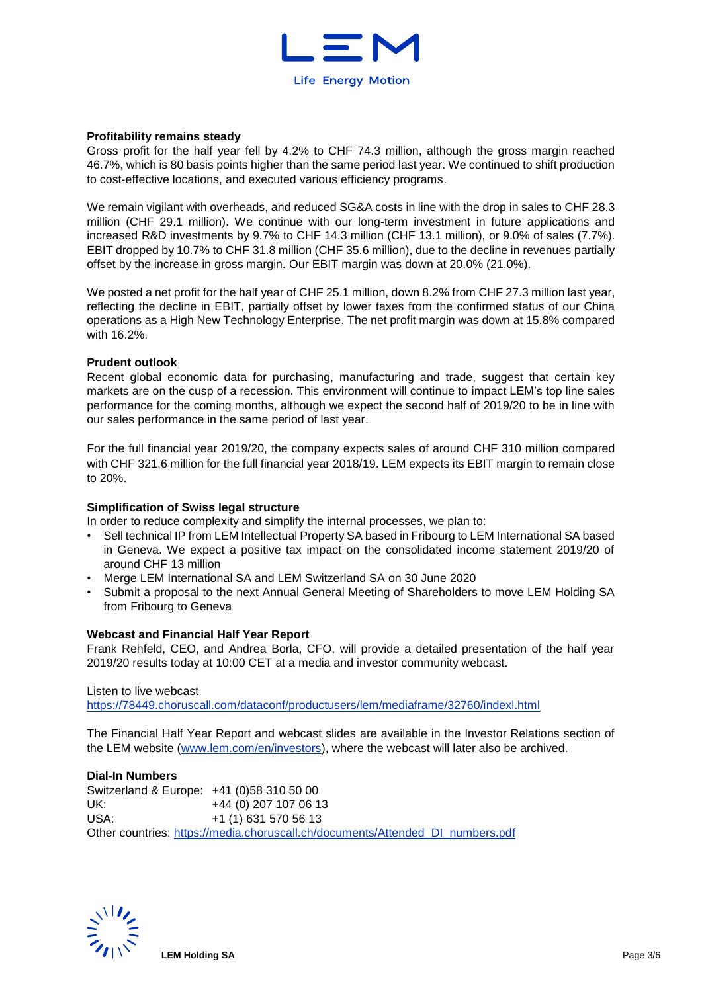

#### **Profitability remains steady**

Gross profit for the half year fell by 4.2% to CHF 74.3 million, although the gross margin reached 46.7%, which is 80 basis points higher than the same period last year. We continued to shift production to cost-effective locations, and executed various efficiency programs.

We remain vigilant with overheads, and reduced SG&A costs in line with the drop in sales to CHF 28.3 million (CHF 29.1 million). We continue with our long-term investment in future applications and increased R&D investments by 9.7% to CHF 14.3 million (CHF 13.1 million), or 9.0% of sales (7.7%). EBIT dropped by 10.7% to CHF 31.8 million (CHF 35.6 million), due to the decline in revenues partially offset by the increase in gross margin. Our EBIT margin was down at 20.0% (21.0%).

We posted a net profit for the half year of CHF 25.1 million, down 8.2% from CHF 27.3 million last year, reflecting the decline in EBIT, partially offset by lower taxes from the confirmed status of our China operations as a High New Technology Enterprise. The net profit margin was down at 15.8% compared with 16.2%.

#### **Prudent outlook**

Recent global economic data for purchasing, manufacturing and trade, suggest that certain key markets are on the cusp of a recession. This environment will continue to impact LEM's top line sales performance for the coming months, although we expect the second half of 2019/20 to be in line with our sales performance in the same period of last year.

For the full financial year 2019/20, the company expects sales of around CHF 310 million compared with CHF 321.6 million for the full financial year 2018/19. LEM expects its EBIT margin to remain close to 20%.

#### **Simplification of Swiss legal structure**

In order to reduce complexity and simplify the internal processes, we plan to:

- Sell technical IP from LEM Intellectual Property SA based in Fribourg to LEM International SA based in Geneva. We expect a positive tax impact on the consolidated income statement 2019/20 of around CHF 13 million
- Merge LEM International SA and LEM Switzerland SA on 30 June 2020
- Submit a proposal to the next Annual General Meeting of Shareholders to move LEM Holding SA from Fribourg to Geneva

#### **Webcast and Financial Half Year Report**

Frank Rehfeld, CEO, and Andrea Borla, CFO, will provide a detailed presentation of the half year 2019/20 results today at 10:00 CET at a media and investor community webcast.

#### Listen to live webcast

<https://78449.choruscall.com/dataconf/productusers/lem/mediaframe/32760/indexl.html>

The Financial Half Year Report and webcast slides are available in the Investor Relations section of the LEM website [\(www.lem.com/en/investors\)](http://www.lem.com/en/investors), where the webcast will later also be archived.

#### **Dial-In Numbers**

Switzerland & Europe: +41 (0)58 310 50 00 UK: +44 (0) 207 107 06 13 USA: +1 (1) 631 570 56 13 Other countries: [https://media.choruscall.ch/documents/Attended\\_DI\\_numbers.pdf](https://media.choruscall.ch/documents/Attended_DI_numbers.pdf)

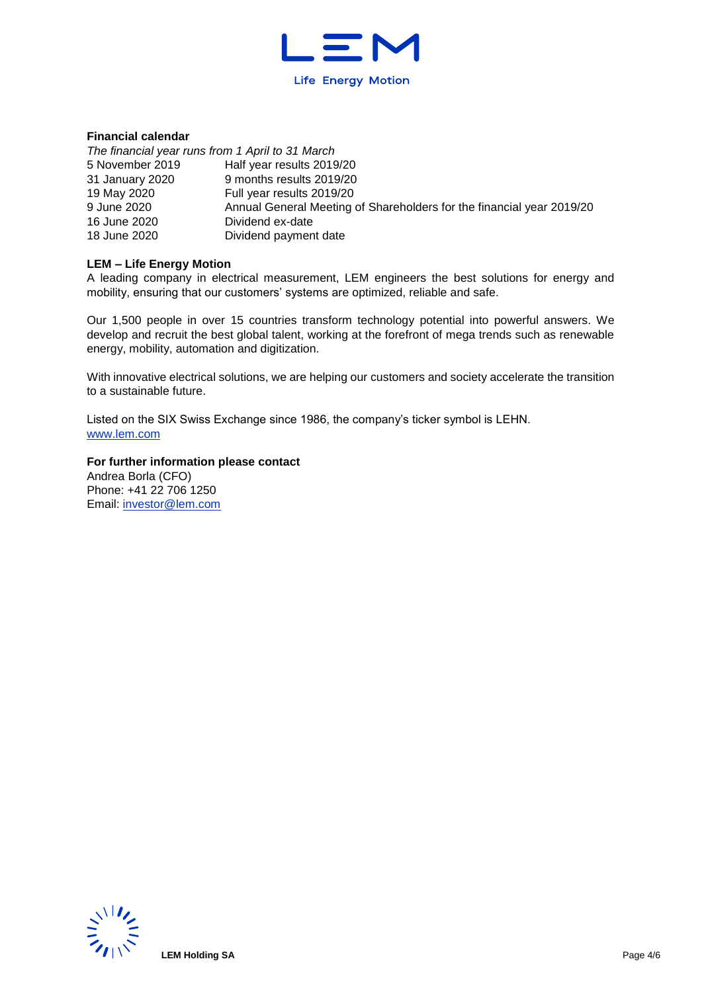

### **Financial calendar**

| The financial year runs from 1 April to 31 March |                                                                       |
|--------------------------------------------------|-----------------------------------------------------------------------|
| 5 November 2019                                  | Half year results 2019/20                                             |
| 31 January 2020                                  | 9 months results 2019/20                                              |
| 19 May 2020                                      | Full year results 2019/20                                             |
| 9 June 2020                                      | Annual General Meeting of Shareholders for the financial year 2019/20 |
| 16 June 2020                                     | Dividend ex-date                                                      |
| 18 June 2020                                     | Dividend payment date                                                 |

#### **LEM – Life Energy Motion**

A leading company in electrical measurement, LEM engineers the best solutions for energy and mobility, ensuring that our customers' systems are optimized, reliable and safe.

Our 1,500 people in over 15 countries transform technology potential into powerful answers. We develop and recruit the best global talent, working at the forefront of mega trends such as renewable energy, mobility, automation and digitization.

With innovative electrical solutions, we are helping our customers and society accelerate the transition to a sustainable future.

Listed on the SIX Swiss Exchange since 1986, the company's ticker symbol is LEHN. [www.lem.com](http://www.lem.com/) 

**For further information please contact** Andrea Borla (CFO) Phone: +41 22 706 1250 Email: [investor@lem.com](mailto:investor@lem.com) 

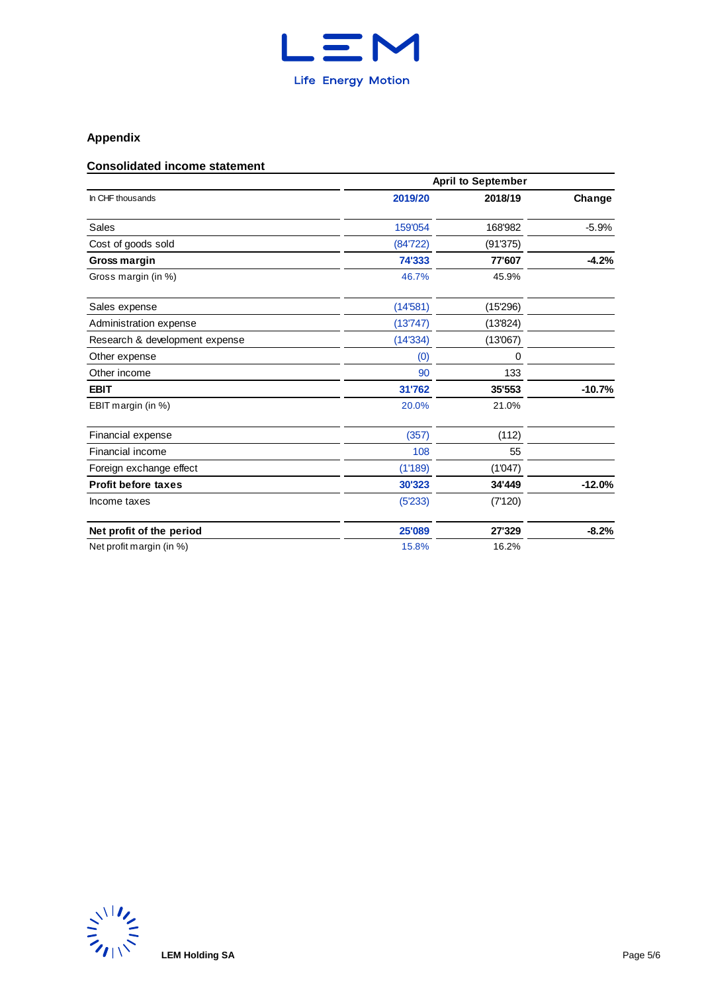

## **Appendix**

### **Consolidated income statement**

|                                | <b>April to September</b> |          |          |  |  |  |  |  |
|--------------------------------|---------------------------|----------|----------|--|--|--|--|--|
| In CHF thousands               | 2019/20                   | 2018/19  | Change   |  |  |  |  |  |
| <b>Sales</b>                   | 159'054                   | 168'982  | $-5.9%$  |  |  |  |  |  |
| Cost of goods sold             | (84'722)                  | (91'375) |          |  |  |  |  |  |
| Gross margin                   | 74'333                    | 77'607   | $-4.2%$  |  |  |  |  |  |
| Gross margin (in %)            | 46.7%                     | 45.9%    |          |  |  |  |  |  |
| Sales expense                  | (14'581)                  | (15'296) |          |  |  |  |  |  |
| Administration expense         | (13'747)                  | (13'824) |          |  |  |  |  |  |
| Research & development expense | (14'334)                  | (13'067) |          |  |  |  |  |  |
| Other expense                  | (0)                       | 0        |          |  |  |  |  |  |
| Other income                   | 90                        | 133      |          |  |  |  |  |  |
| <b>EBIT</b>                    | 31'762                    | 35'553   | $-10.7%$ |  |  |  |  |  |
| EBIT margin (in %)             | 20.0%                     | 21.0%    |          |  |  |  |  |  |
| Financial expense              | (357)                     | (112)    |          |  |  |  |  |  |
| Financial income               | 108                       | 55       |          |  |  |  |  |  |
| Foreign exchange effect        | (1'189)                   | (1'047)  |          |  |  |  |  |  |
| <b>Profit before taxes</b>     | 30'323                    | 34'449   | $-12.0%$ |  |  |  |  |  |
| Income taxes                   | (5'233)                   | (7'120)  |          |  |  |  |  |  |
| Net profit of the period       | 25'089                    | 27'329   | $-8.2%$  |  |  |  |  |  |
| Net profit margin (in %)       | 15.8%                     | 16.2%    |          |  |  |  |  |  |